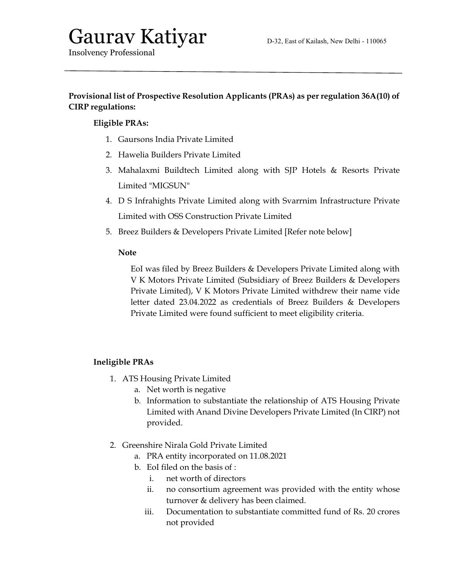# Gaurav Katiyar D-32, East of Kailash, New Delhi - 110065

Insolvency Professional

### Provisional list of Prospective Resolution Applicants (PRAs) as per regulation 36A(10) of CIRP regulations:

## Eligible PRAs:

- 1. Gaursons India Private Limited
- 2. Hawelia Builders Private Limited
- 3. Mahalaxmi Buildtech Limited along with SJP Hotels & Resorts Private Limited "MIGSUN"
- 4. D S Infrahights Private Limited along with Svarrnim Infrastructure Private Limited with OSS Construction Private Limited
- 5. Breez Builders & Developers Private Limited [Refer note below]

### Note

EoI was filed by Breez Builders & Developers Private Limited along with V K Motors Private Limited (Subsidiary of Breez Builders & Developers Private Limited), V K Motors Private Limited withdrew their name vide letter dated 23.04.2022 as credentials of Breez Builders & Developers Private Limited were found sufficient to meet eligibility criteria.

## Ineligible PRAs

- 1. ATS Housing Private Limited
	- a. Net worth is negative
	- b. Information to substantiate the relationship of ATS Housing Private Limited with Anand Divine Developers Private Limited (In CIRP) not provided.
- 2. Greenshire Nirala Gold Private Limited
	- a. PRA entity incorporated on 11.08.2021
	- b. EoI filed on the basis of :
		- i. net worth of directors
		- ii. no consortium agreement was provided with the entity whose turnover & delivery has been claimed.
		- iii. Documentation to substantiate committed fund of Rs. 20 crores not provided